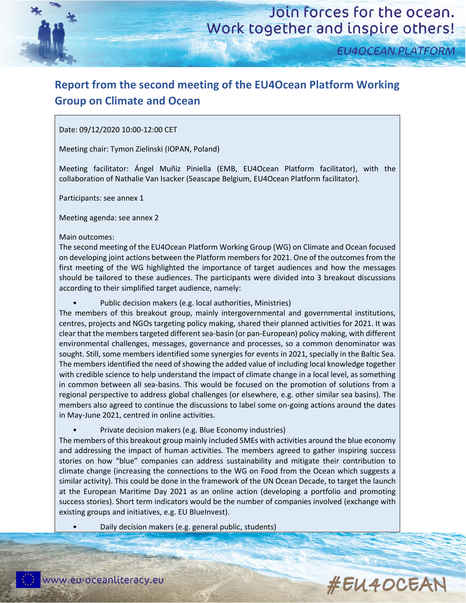

**EU4OCEAN PLATFORM** 

## **Report from the second meeting of the EU4Ocean Platform Working Group on Climate and Ocean**

## Date: 09/12/2020 10:00-12:00 CET

Meeting chair: Tymon Zielinski (IOPAN, Poland)

Meeting facilitator: Ángel Muñiz Piniella (EMB, EU4Ocean Platform facilitator), with the collaboration of Nathalie Van Isacker (Seascape Belgium, EU4Ocean Platform facilitator).

Participants: see annex 1

Meeting agenda: see annex 2

### Main outcomes:

The second meeting of the EU4Ocean Platform Working Group (WG) on Climate and Ocean focused on developing joint actions between the Platform members for 2021. One of the outcomes from the first meeting of the WG highlighted the importance of target audiences and how the messages should be tailored to these audiences. The participants were divided into 3 breakout discussions according to their simplified target audience, namely:

Public decision makers (e.g. local authorities, Ministries)

The members of this breakout group, mainly intergovernmental and governmental institutions, centres, projects and NGOs targeting policy making, shared their planned activities for 2021. It was clear that the members targeted different sea-basin (or pan-European) policy making, with different environmental challenges, messages, governance and processes, so a common denominator was sought. Still, some members identified some synergies for events in 2021, specially in the Baltic Sea. The members identified the need of showing the added value of including local knowledge together with credible science to help understand the impact of climate change in a local level, as something in common between all sea-basins. This would be focused on the promotion of solutions from a regional perspective to address global challenges (or elsewhere, e.g. other similar sea basins). The members also agreed to continue the discussions to label some on-going actions around the dates in May-June 2021, centred in online activities.

• Private decision makers (e.g. Blue Economy industries)

The members of this breakout group mainly included SMEs with activities around the blue economy and addressing the impact of human activities. The members agreed to gather inspiring success stories on how "blue" companies can address sustainability and mitigate their contribution to climate change (increasing the connections to the WG on Food from the Ocean which suggests a similar activity). This could be done in the framework of the UN Ocean Decade, to target the launch at the European Maritime Day 2021 as an online action (developing a portfolio and promoting success stories). Short term indicators would be the number of companies involved (exchange with existing groups and initiatives, e.g. EU BlueInvest).

• Daily decision makers (e.g. general public, students)

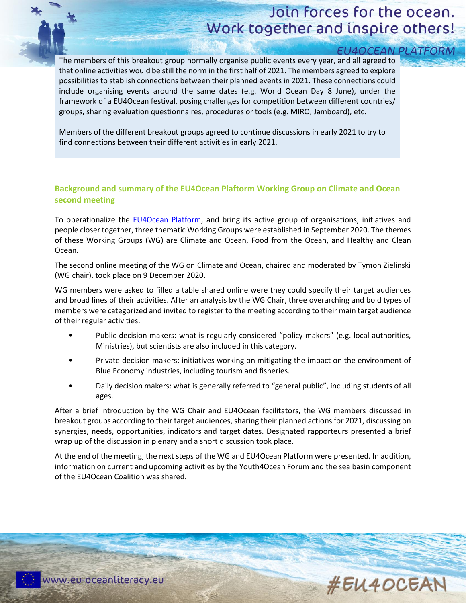# Join forces for the ocean. Work together and inspire others!

|  | <b>U4OCEAN PLATFORM</b> |  |  |
|--|-------------------------|--|--|
|  |                         |  |  |
|  |                         |  |  |
|  |                         |  |  |

The members of this breakout group normally organise public events every year, and all agreed to that online activities would be still the norm in the first half of 2021. The members agreed to explore possibilities to stablish connections between their planned events in 2021. These connections could include organising events around the same dates (e.g. World Ocean Day 8 June), under the framework of a EU4Ocean festival, posing challenges for competition between different countries/ groups, sharing evaluation questionnaires, procedures or tools (e.g. MIRO, Jamboard), etc.

Members of the different breakout groups agreed to continue discussions in early 2021 to try to find connections between their different activities in early 2021.

## **Background and summary of the EU4Ocean Plaftorm Working Group on Climate and Ocean second meeting**

To operationalize the [EU4Ocean Platform,](https://webgate.ec.europa.eu/maritimeforum/en/frontpage/1483) and bring its active group of organisations, initiatives and people closer together, three thematic Working Groups were established in September 2020. The themes of these Working Groups (WG) are Climate and Ocean, Food from the Ocean, and Healthy and Clean Ocean.

The second online meeting of the WG on Climate and Ocean, chaired and moderated by Tymon Zielinski (WG chair), took place on 9 December 2020.

WG members were asked to filled a table shared online were they could specify their target audiences and broad lines of their activities. After an analysis by the WG Chair, three overarching and bold types of members were categorized and invited to register to the meeting according to their main target audience of their regular activities.

- Public decision makers: what is regularly considered "policy makers" (e.g. local authorities, Ministries), but scientists are also included in this category.
- Private decision makers: initiatives working on mitigating the impact on the environment of Blue Economy industries, including tourism and fisheries.
- Daily decision makers: what is generally referred to "general public", including students of all ages.

After a brief introduction by the WG Chair and EU4Ocean facilitators, the WG members discussed in breakout groups according to their target audiences, sharing their planned actions for 2021, discussing on synergies, needs, opportunities, indicators and target dates. Designated rapporteurs presented a brief wrap up of the discussion in plenary and a short discussion took place.

At the end of the meeting, the next steps of the WG and EU4Ocean Platform were presented. In addition, information on current and upcoming activities by the Youth4Ocean Forum and the sea basin component of the EU4Ocean Coalition was shared.

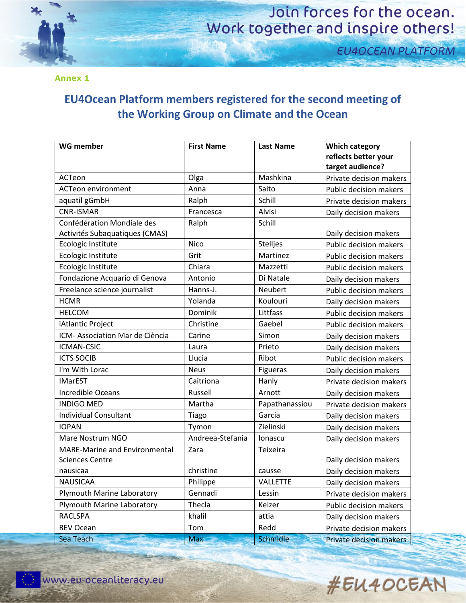

# Join forces for the ocean. Work together and inspire others!

**EU4OCEAN PLATFORM** 

**Annex 1**

## **EU4Ocean Platform members registered for the second meeting of the Working Group on Climate and the Ocean**

| <b>WG member</b>                | <b>First Name</b> | <b>Last Name</b> | <b>Which category</b>          |
|---------------------------------|-------------------|------------------|--------------------------------|
|                                 |                   |                  | reflects better your           |
|                                 |                   |                  | target audience?               |
| ACTeon                          | Olga              | Mashkina         | Private decision makers        |
| <b>ACTeon environment</b>       | Anna              | Saito            | <b>Public decision makers</b>  |
| aquatil gGmbH                   | Ralph             | Schill           | Private decision makers        |
| <b>CNR-ISMAR</b>                | Francesca         | Alvisi           | Daily decision makers          |
| Confédération Mondiale des      | Ralph             | Schill           |                                |
| Activités Subaquatiques (CMAS)  |                   |                  | Daily decision makers          |
| Ecologic Institute              | <b>Nico</b>       | Stelljes         | <b>Public decision makers</b>  |
| Ecologic Institute              | Grit              | Martinez         | Public decision makers         |
| Ecologic Institute              | Chiara            | Mazzetti         | <b>Public decision makers</b>  |
| Fondazione Acquario di Genova   | Antonio           | Di Natale        | Daily decision makers          |
| Freelance science journalist    | Hanns-J.          | <b>Neubert</b>   | <b>Public decision makers</b>  |
| <b>HCMR</b>                     | Yolanda           | Koulouri         | Daily decision makers          |
| <b>HELCOM</b>                   | Dominik           | Littfass         | <b>Public decision makers</b>  |
| iAtlantic Project               | Christine         | Gaebel           | <b>Public decision makers</b>  |
| ICM- Association Mar de Ciència | Carine            | Simon            | Daily decision makers          |
| <b>ICMAN-CSIC</b>               | Laura             | Prieto           | Daily decision makers          |
| <b>ICTS SOCIB</b>               | Llucia            | Ribot            | <b>Public decision makers</b>  |
| I'm With Lorac                  | <b>Neus</b>       | Figueras         | Daily decision makers          |
| <b>IMarEST</b>                  | Caitriona         | Hanly            | Private decision makers        |
| <b>Incredible Oceans</b>        | Russell           | Arnott           | Daily decision makers          |
| <b>INDIGO MED</b>               | Martha            | Papathanassiou   | Private decision makers        |
| <b>Individual Consultant</b>    | Tiago             | Garcia           | Daily decision makers          |
| <b>IOPAN</b>                    | Tymon             | Zielinski        | Daily decision makers          |
| Mare Nostrum NGO                | Andreea-Stefania  | lonascu          | Daily decision makers          |
| MARE-Marine and Environmental   | Zara              | Teixeira         |                                |
| <b>Sciences Centre</b>          |                   |                  | Daily decision makers          |
| nausicaa                        | christine         | causse           | Daily decision makers          |
| <b>NAUSICAA</b>                 | Philippe          | VALLETTE         | Daily decision makers          |
| Plymouth Marine Laboratory      | Gennadi           | Lessin           | Private decision makers        |
| Plymouth Marine Laboratory      | Thecla            | Keizer           | Public decision makers         |
| <b>RACLSPA</b>                  | khalil            | attia            | Daily decision makers          |
| REV Ocean                       | Tom               | Redd             | Private decision makers        |
| Sea Teach                       | <b>Max</b>        | Schmidle         | <b>Private decision makers</b> |

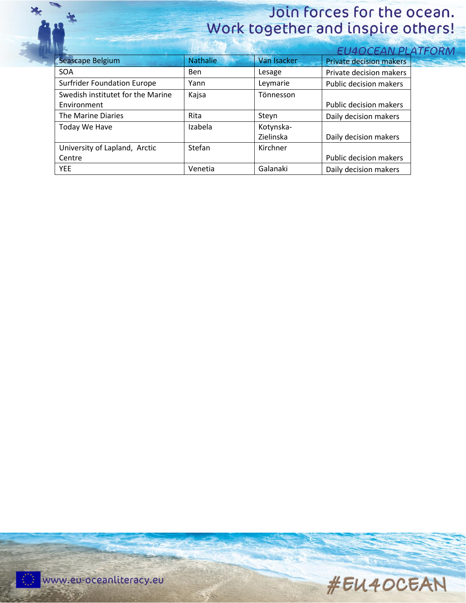Ł

# Join forces for the ocean. Work together and inspire others!

|                                    |                 |             | EU4OCEAN PLATFORN              |                   |
|------------------------------------|-----------------|-------------|--------------------------------|-------------------|
| Seascape Belgium                   | <b>Nathalie</b> | Van Isacker | <b>Private decision makers</b> | <b>BELLEVILLE</b> |
| <b>SOA</b>                         | <b>Ben</b>      | Lesage      | Private decision makers        |                   |
| <b>Surfrider Foundation Europe</b> | Yann            | Leymarie    | Public decision makers         |                   |
| Swedish institutet for the Marine  | Kajsa           | Tönnesson   |                                |                   |
| Environment                        |                 |             | Public decision makers         |                   |
| The Marine Diaries                 | Rita            | Steyn       | Daily decision makers          |                   |
| Today We Have                      | Izabela         | Kotynska-   |                                |                   |
|                                    |                 | Zielinska   | Daily decision makers          |                   |
| University of Lapland, Arctic      | Stefan          | Kirchner    |                                |                   |
| Centre                             |                 |             | Public decision makers         |                   |
| YEE.                               | Venetia         | Galanaki    | Daily decision makers          |                   |